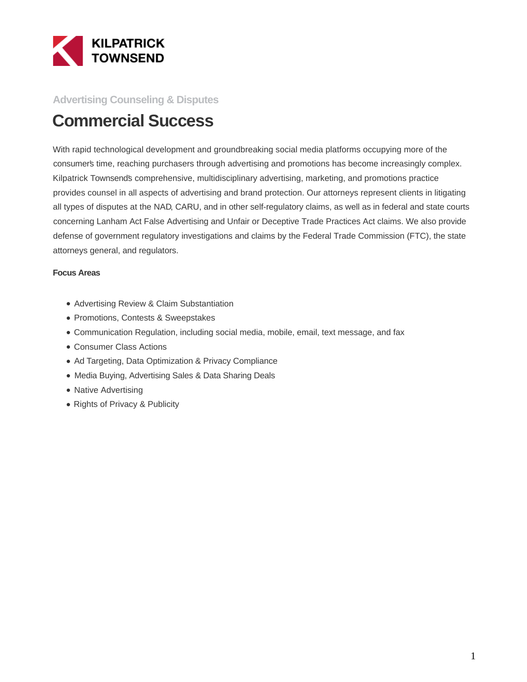

#### **Advertising Counseling & Disputes**

# **Commercial Success**

With rapid technological development and groundbreaking social media platforms occupying more of the consumer's time, reaching purchasers through advertising and promotions has become increasingly complex. Kilpatrick Townsend's comprehensive, multidisciplinary advertising, marketing, and promotions practice provides counsel in all aspects of advertising and brand protection. Our attorneys represent clients in litigating all types of disputes at the NAD, CARU, and in other self-regulatory claims, as well as in federal and state courts concerning Lanham Act False Advertising and Unfair or Deceptive Trade Practices Act claims. We also provide defense of government regulatory investigations and claims by the Federal Trade Commission (FTC), the state attorneys general, and regulators.

#### **Focus Areas**

- Advertising Review & Claim Substantiation
- Promotions, Contests & Sweepstakes
- Communication Regulation, including social media, mobile, email, text message, and fax
- Consumer Class Actions
- Ad Targeting, Data Optimization & Privacy Compliance
- Media Buying, Advertising Sales & Data Sharing Deals
- Native Advertising
- Rights of Privacy & Publicity